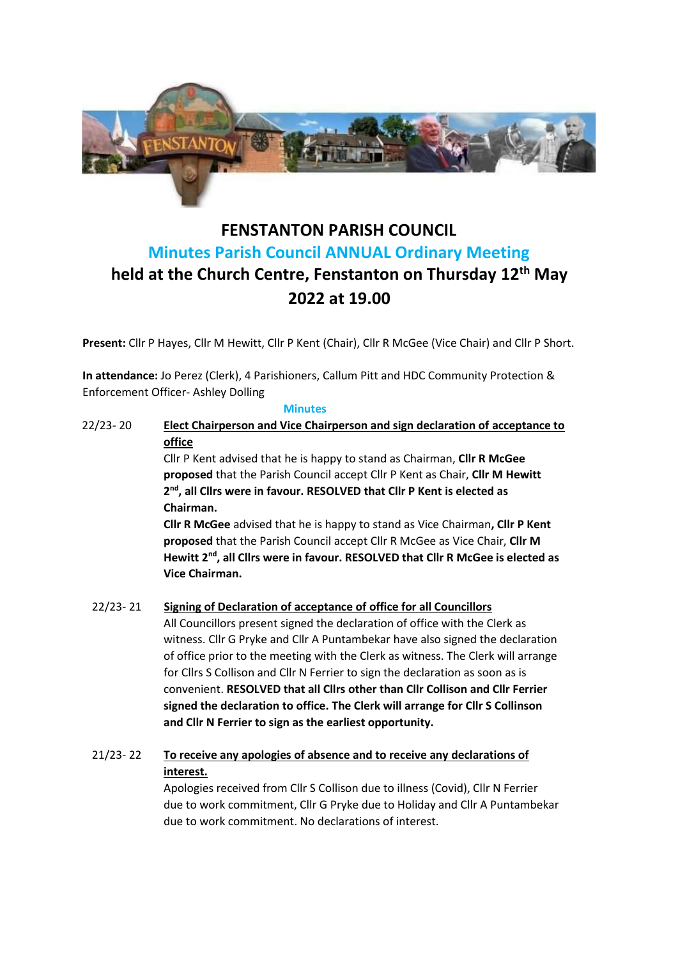

# **FENSTANTON PARISH COUNCIL Minutes Parish Council ANNUAL Ordinary Meeting held at the Church Centre, Fenstanton on Thursday 12 th May 2022 at 19.00**

**Present:** Cllr P Hayes, Cllr M Hewitt, Cllr P Kent (Chair), Cllr R McGee (Vice Chair) and Cllr P Short.

**In attendance:** Jo Perez (Clerk), 4 Parishioners, Callum Pitt and HDC Community Protection & Enforcement Officer- Ashley Dolling

#### **Minutes**

22/23- 20 **Elect Chairperson and Vice Chairperson and sign declaration of acceptance to office** Cllr P Kent advised that he is happy to stand as Chairman, **Cllr R McGee** 

**proposed** that the Parish Council accept Cllr P Kent as Chair, **Cllr M Hewitt 2 nd, all Cllrs were in favour. RESOLVED that Cllr P Kent is elected as Chairman.**

**Cllr R McGee** advised that he is happy to stand as Vice Chairman**, Cllr P Kent proposed** that the Parish Council accept Cllr R McGee as Vice Chair, **Cllr M Hewitt 2nd, all Cllrs were in favour. RESOLVED that Cllr R McGee is elected as Vice Chairman.**

## 22/23- 21 **Signing of Declaration of acceptance of office for all Councillors**

All Councillors present signed the declaration of office with the Clerk as witness. Cllr G Pryke and Cllr A Puntambekar have also signed the declaration of office prior to the meeting with the Clerk as witness. The Clerk will arrange for Cllrs S Collison and Cllr N Ferrier to sign the declaration as soon as is convenient. **RESOLVED that all Cllrs other than Cllr Collison and Cllr Ferrier signed the declaration to office. The Clerk will arrange for Cllr S Collinson and Cllr N Ferrier to sign as the earliest opportunity.**

## 21/23- 22 **To receive any apologies of absence and to receive any declarations of interest.**

Apologies received from Cllr S Collison due to illness (Covid), Cllr N Ferrier due to work commitment, Cllr G Pryke due to Holiday and Cllr A Puntambekar due to work commitment. No declarations of interest.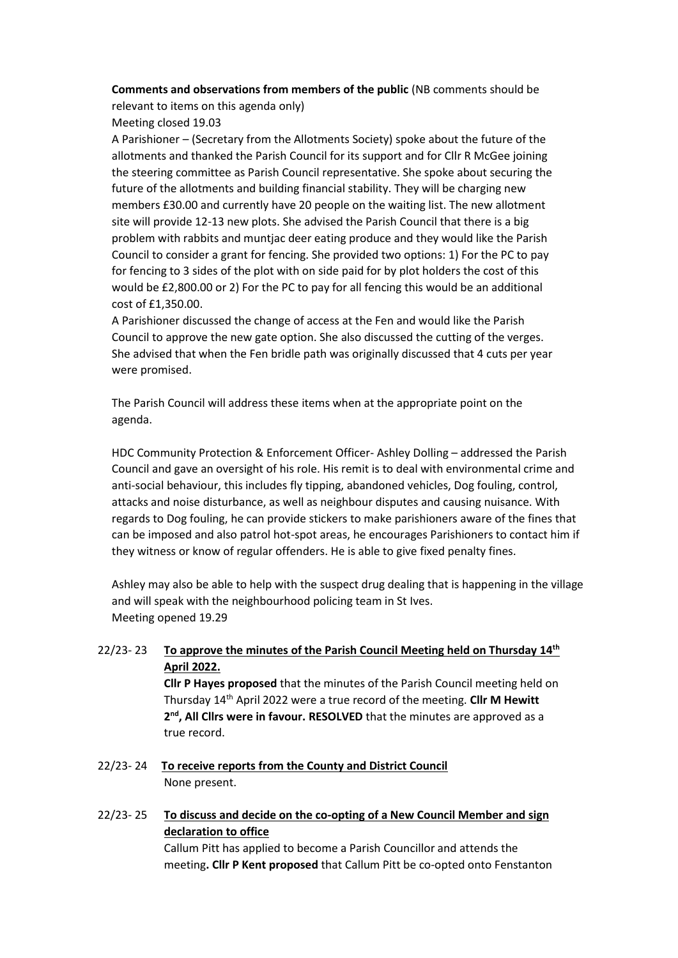**Comments and observations from members of the public** (NB comments should be relevant to items on this agenda only)

Meeting closed 19.03

A Parishioner – (Secretary from the Allotments Society) spoke about the future of the allotments and thanked the Parish Council for its support and for Cllr R McGee joining the steering committee as Parish Council representative. She spoke about securing the future of the allotments and building financial stability. They will be charging new members £30.00 and currently have 20 people on the waiting list. The new allotment site will provide 12-13 new plots. She advised the Parish Council that there is a big problem with rabbits and muntjac deer eating produce and they would like the Parish Council to consider a grant for fencing. She provided two options: 1) For the PC to pay for fencing to 3 sides of the plot with on side paid for by plot holders the cost of this would be £2,800.00 or 2) For the PC to pay for all fencing this would be an additional cost of £1,350.00.

A Parishioner discussed the change of access at the Fen and would like the Parish Council to approve the new gate option. She also discussed the cutting of the verges. She advised that when the Fen bridle path was originally discussed that 4 cuts per year were promised.

The Parish Council will address these items when at the appropriate point on the agenda.

HDC Community Protection & Enforcement Officer- Ashley Dolling – addressed the Parish Council and gave an oversight of his role. His remit is to deal with environmental crime and anti-social behaviour, this includes fly tipping, abandoned vehicles, Dog fouling, control, attacks and noise disturbance, as well as neighbour disputes and causing nuisance. With regards to Dog fouling, he can provide stickers to make parishioners aware of the fines that can be imposed and also patrol hot-spot areas, he encourages Parishioners to contact him if they witness or know of regular offenders. He is able to give fixed penalty fines.

Ashley may also be able to help with the suspect drug dealing that is happening in the village and will speak with the neighbourhood policing team in St Ives. Meeting opened 19.29

## 22/23- 23 **To approve the minutes of the Parish Council Meeting held on Thursday 14th April 2022.**

**Cllr P Hayes proposed** that the minutes of the Parish Council meeting held on Thursday 14th April 2022 were a true record of the meeting. **Cllr M Hewitt**  2<sup>nd</sup>, All Clirs were in favour. RESOLVED that the minutes are approved as a true record.

- 22/23- 24 **To receive reports from the County and District Council** None present.
- 22/23- 25 **To discuss and decide on the co-opting of a New Council Member and sign declaration to office** Callum Pitt has applied to become a Parish Councillor and attends the meeting**. Cllr P Kent proposed** that Callum Pitt be co-opted onto Fenstanton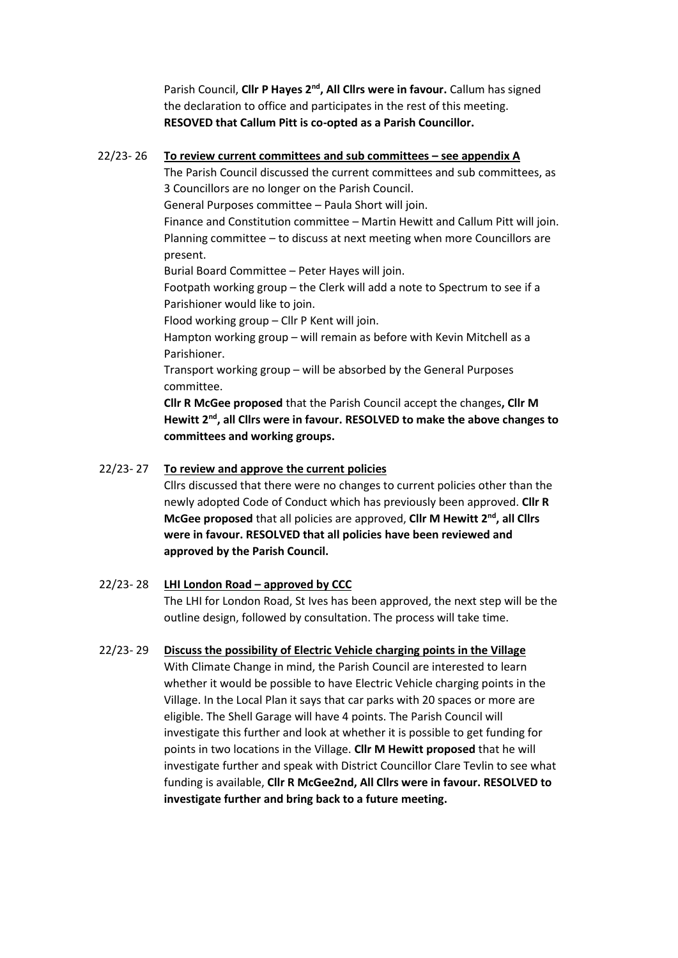Parish Council, Cllr P Hayes 2<sup>nd</sup>, All Cllrs were in favour. Callum has signed the declaration to office and participates in the rest of this meeting. **RESOVED that Callum Pitt is co-opted as a Parish Councillor.**

#### 22/23- 26 **To review current committees and sub committees – see appendix A**

The Parish Council discussed the current committees and sub committees, as 3 Councillors are no longer on the Parish Council.

General Purposes committee – Paula Short will join.

Finance and Constitution committee – Martin Hewitt and Callum Pitt will join. Planning committee – to discuss at next meeting when more Councillors are present.

Burial Board Committee – Peter Hayes will join.

Footpath working group – the Clerk will add a note to Spectrum to see if a Parishioner would like to join.

Flood working group – Cllr P Kent will join.

Hampton working group – will remain as before with Kevin Mitchell as a Parishioner.

Transport working group – will be absorbed by the General Purposes committee.

**Cllr R McGee proposed** that the Parish Council accept the changes**, Cllr M Hewitt 2nd, all Cllrs were in favour. RESOLVED to make the above changes to committees and working groups.**

## 22/23- 27 **To review and approve the current policies**

Cllrs discussed that there were no changes to current policies other than the newly adopted Code of Conduct which has previously been approved. **Cllr R McGee proposed** that all policies are approved, **Cllr M Hewitt 2nd, all Cllrs were in favour. RESOLVED that all policies have been reviewed and approved by the Parish Council.**

#### 22/23- 28 **LHI London Road – approved by CCC**

The LHI for London Road, St Ives has been approved, the next step will be the outline design, followed by consultation. The process will take time.

#### 22/23- 29 **Discuss the possibility of Electric Vehicle charging points in the Village**

With Climate Change in mind, the Parish Council are interested to learn whether it would be possible to have Electric Vehicle charging points in the Village. In the Local Plan it says that car parks with 20 spaces or more are eligible. The Shell Garage will have 4 points. The Parish Council will investigate this further and look at whether it is possible to get funding for points in two locations in the Village. **Cllr M Hewitt proposed** that he will investigate further and speak with District Councillor Clare Tevlin to see what funding is available, **Cllr R McGee2nd, All Cllrs were in favour. RESOLVED to investigate further and bring back to a future meeting.**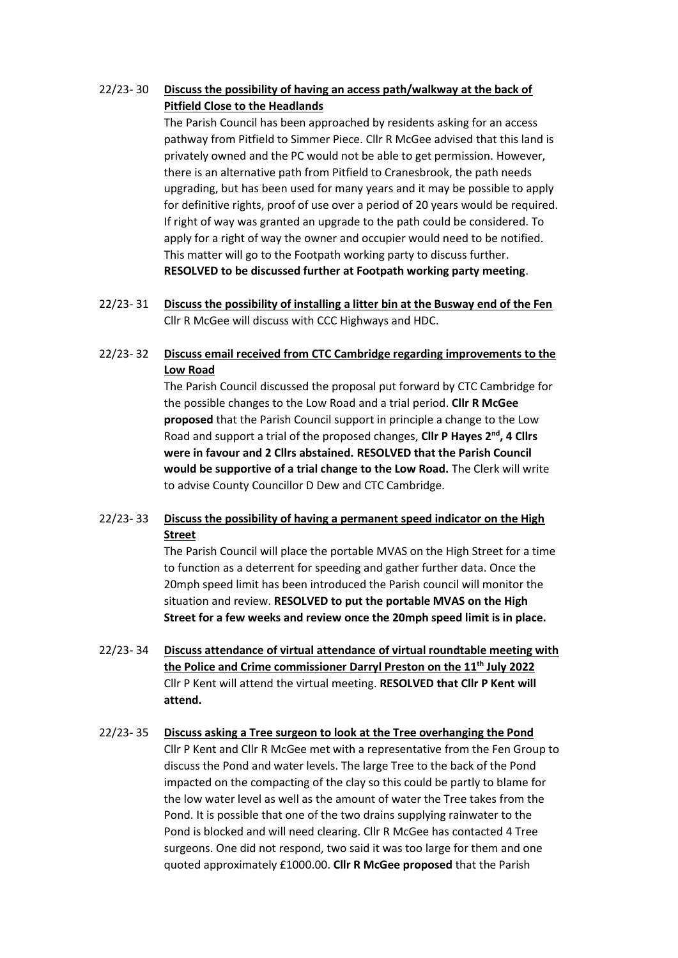## 22/23- 30 **Discuss the possibility of having an access path/walkway at the back of Pitfield Close to the Headlands**

The Parish Council has been approached by residents asking for an access pathway from Pitfield to Simmer Piece. Cllr R McGee advised that this land is privately owned and the PC would not be able to get permission. However, there is an alternative path from Pitfield to Cranesbrook, the path needs upgrading, but has been used for many years and it may be possible to apply for definitive rights, proof of use over a period of 20 years would be required. If right of way was granted an upgrade to the path could be considered. To apply for a right of way the owner and occupier would need to be notified. This matter will go to the Footpath working party to discuss further. **RESOLVED to be discussed further at Footpath working party meeting**.

22/23- 31 **Discuss the possibility of installing a litter bin at the Busway end of the Fen** Cllr R McGee will discuss with CCC Highways and HDC.

## 22/23- 32 **Discuss email received from CTC Cambridge regarding improvements to the Low Road**

The Parish Council discussed the proposal put forward by CTC Cambridge for the possible changes to the Low Road and a trial period. **Cllr R McGee proposed** that the Parish Council support in principle a change to the Low Road and support a trial of the proposed changes, **Cllr P Hayes 2nd, 4 Cllrs were in favour and 2 Cllrs abstained. RESOLVED that the Parish Council would be supportive of a trial change to the Low Road.** The Clerk will write to advise County Councillor D Dew and CTC Cambridge.

## 22/23- 33 **Discuss the possibility of having a permanent speed indicator on the High Street**

The Parish Council will place the portable MVAS on the High Street for a time to function as a deterrent for speeding and gather further data. Once the 20mph speed limit has been introduced the Parish council will monitor the situation and review. **RESOLVED to put the portable MVAS on the High Street for a few weeks and review once the 20mph speed limit is in place.**

22/23- 34 **Discuss attendance of virtual attendance of virtual roundtable meeting with the Police and Crime commissioner Darryl Preston on the 11th July 2022** Cllr P Kent will attend the virtual meeting. **RESOLVED that Cllr P Kent will attend.**

## 22/23- 35 **Discuss asking a Tree surgeon to look at the Tree overhanging the Pond**

Cllr P Kent and Cllr R McGee met with a representative from the Fen Group to discuss the Pond and water levels. The large Tree to the back of the Pond impacted on the compacting of the clay so this could be partly to blame for the low water level as well as the amount of water the Tree takes from the Pond. It is possible that one of the two drains supplying rainwater to the Pond is blocked and will need clearing. Cllr R McGee has contacted 4 Tree surgeons. One did not respond, two said it was too large for them and one quoted approximately £1000.00. **Cllr R McGee proposed** that the Parish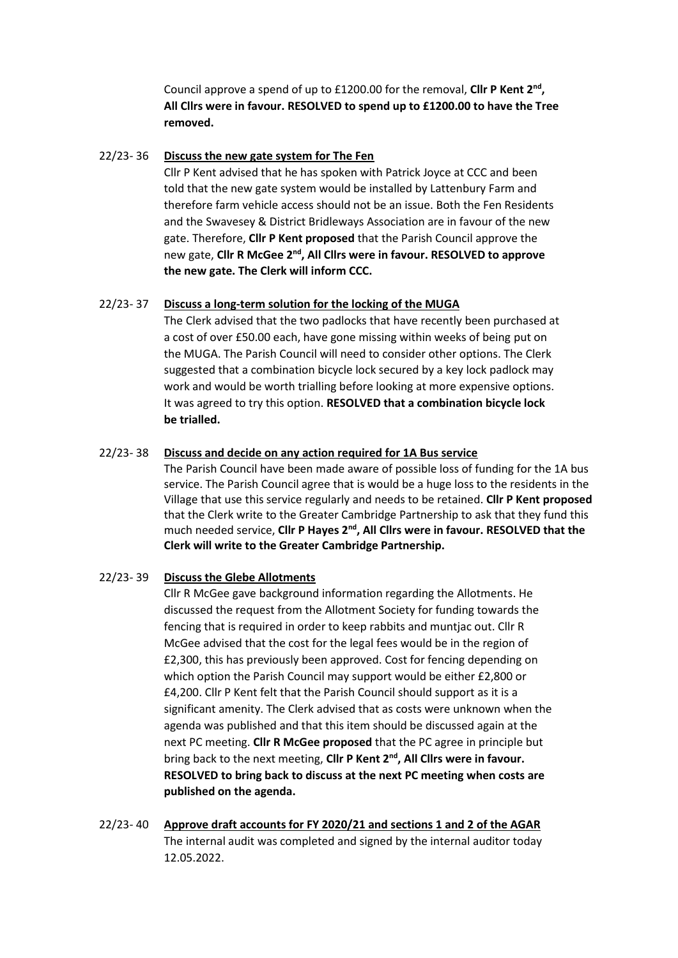Council approve a spend of up to £1200.00 for the removal, **Cllr P Kent 2nd , All Cllrs were in favour. RESOLVED to spend up to £1200.00 to have the Tree removed.**

#### 22/23- 36 **Discuss the new gate system for The Fen**

Cllr P Kent advised that he has spoken with Patrick Joyce at CCC and been told that the new gate system would be installed by Lattenbury Farm and therefore farm vehicle access should not be an issue. Both the Fen Residents and the Swavesey & District Bridleways Association are in favour of the new gate. Therefore, **Cllr P Kent proposed** that the Parish Council approve the new gate, **Cllr R McGee 2nd, All Cllrs were in favour. RESOLVED to approve the new gate. The Clerk will inform CCC.**

#### 22/23- 37 **Discuss a long-term solution for the locking of the MUGA**

The Clerk advised that the two padlocks that have recently been purchased at a cost of over £50.00 each, have gone missing within weeks of being put on the MUGA. The Parish Council will need to consider other options. The Clerk suggested that a combination bicycle lock secured by a key lock padlock may work and would be worth trialling before looking at more expensive options. It was agreed to try this option. **RESOLVED that a combination bicycle lock be trialled.** 

## 22/23- 38 **Discuss and decide on any action required for 1A Bus service**

The Parish Council have been made aware of possible loss of funding for the 1A bus service. The Parish Council agree that is would be a huge loss to the residents in the Village that use this service regularly and needs to be retained. **Cllr P Kent proposed** that the Clerk write to the Greater Cambridge Partnership to ask that they fund this much needed service, **Cllr P Hayes 2nd, All Cllrs were in favour. RESOLVED that the Clerk will write to the Greater Cambridge Partnership.**

## 22/23- 39 **Discuss the Glebe Allotments**

Cllr R McGee gave background information regarding the Allotments. He discussed the request from the Allotment Society for funding towards the fencing that is required in order to keep rabbits and muntjac out. Cllr R McGee advised that the cost for the legal fees would be in the region of £2,300, this has previously been approved. Cost for fencing depending on which option the Parish Council may support would be either £2,800 or £4,200. Cllr P Kent felt that the Parish Council should support as it is a significant amenity. The Clerk advised that as costs were unknown when the agenda was published and that this item should be discussed again at the next PC meeting. **Cllr R McGee proposed** that the PC agree in principle but bring back to the next meeting, **Cllr P Kent 2nd, All Cllrs were in favour. RESOLVED to bring back to discuss at the next PC meeting when costs are published on the agenda.**

22/23- 40 **Approve draft accounts for FY 2020/21 and sections 1 and 2 of the AGAR** The internal audit was completed and signed by the internal auditor today 12.05.2022.